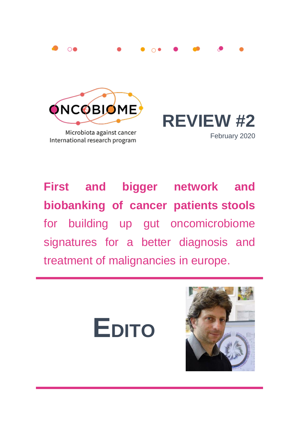



Microbiota against cancer International research program



**First and bigger network and biobanking of cancer patients stools**  for building up gut oncomicrobiome signatures for a better diagnosis and treatment of malignancies in europe.



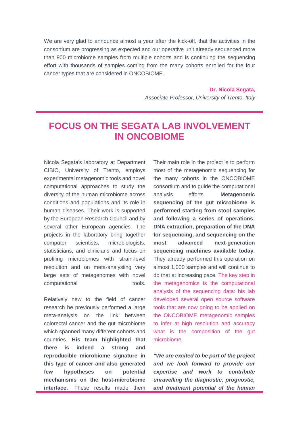We are very glad to announce almost a year after the kick-off, that the activities in the consortium are progressing as expected and our operative unit already sequenced more than 900 microbiome samples from multiple cohorts and is continuing the sequencing effort with thousands of samples coming from the many cohorts enrolled for the four cancer types that are considered in ONCOBIOME.

> **Dr. Nicola Segata,** *Associate Professor, University of Trento, Italy*

## **FOCUS ON THE SEGATA LAB INVOLVEMENT IN ONCOBIOME**

Nicola Segata's laboratory at Department CIBIO, University of Trento, employs experimental metagenomic tools and novel computational approaches to study the diversity of the human microbiome across conditions and populations and its role in human diseases. Their work is supported by the European Research Council and by several other European agencies. The projects in the laboratory bring together computer scientists, microbiologists, statisticians, and clinicians and focus on profiling microbiomes with strain-level resolution and on meta-analysiing very large sets of metagenomes with novel computational tools.

Relatively new to the field of cancer research he previously performed a large meta-analysis on the link between colorectal cancer and the gut microbiome which spanned many different cohorts and countries. **His team highlighted that there is indeed a strong and reproducible microbiome signature in this type of cancer and also generated few hypotheses on potential mechanisms on the host-microbiome interface.** These results made them Their main role in the project is to perform most of the metagenomic sequencing for the many cohorts in the ONCOBIOME consortium and to guide the computational analysis efforts. **Metagenomic sequencing of the gut microbiome is performed starting from stool samples and following a series of operations: DNA extraction, preparation of the DNA for sequencing, and sequencing on the most advanced next-generation sequencing machines available today.** They already performed this operation on almost 1,000 samples and will continue to do that at increasing pace. The key step in the metagenomics is the computational analysis of the sequencing data: his lab developed several open source software tools that are now going to be applied on the ONCOBIOME metagenomic samples to infer at high resolution and accuracy what is the composition of the gut microbiome.

*"We are excited to be part of the project and we look forward to provide our expertise and work to contribute unravelling the diagnostic, prognostic, and treatment potential of the human*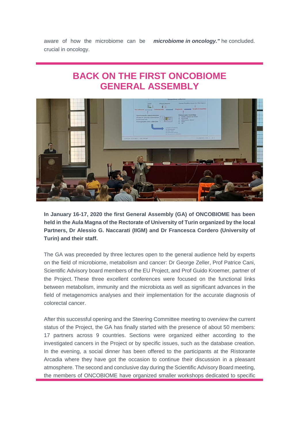aware of how the microbiome can be crucial in oncology. *microbiome in oncology."* he concluded.

## **BACK ON THE FIRST ONCOBIOME GENERAL ASSEMBLY**



**In January 16-17, 2020 the first General Assembly (GA) of ONCOBIOME has been held in the Aula Magna of the Rectorate of University of Turin organized by the local Partners, Dr Alessio G. Naccarati (IIGM) and Dr Francesca Cordero (University of Turin) and their staff.** 

The GA was preceeded by three lectures open to the general audience held by experts on the field of microbiome, metabolism and cancer: Dr George Zeller, Prof Patrice Cani, Scientific Advisory board members of the EU Project, and Prof Guido Kroemer, partner of the Project. These three excellent conferences were focused on the functional links between metabolism, immunity and the microbiota as well as significant advances in the field of metagenomics analyses and their implementation for the accurate diagnosis of colorectal cancer.

After this successful opening and the Steering Committee meeting to overview the current status of the Project, the GA has finally started with the presence of about 50 members: 17 partners across 9 countries. Sections were organized either according to the investigated cancers in the Project or by specific issues, such as the database creation. In the evening, a social dinner has been offered to the participants at the Ristorante Arcadia where they have got the occasion to continue their discussion in a pleasant atmosphere. The second and conclusive day during the Scientific Advisory Board meeting, the members of ONCOBIOME have organized smaller workshops dedicated to specific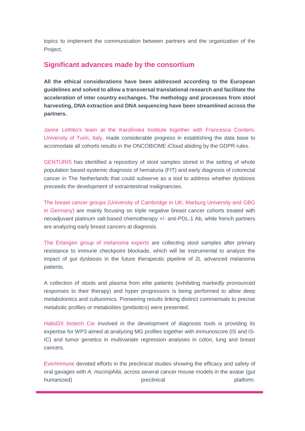topics to implement the communication between partners and the organization of the Project.

#### **Significant advances made by the consortium**

**All the ethical considerations have been addressed according to the European guidelines and solved to allow a transversal translational research and facilitate the acceleration of inter country exchanges. The methology and processes from stool harvesting, DNA extraction and DNA sequencing have been streamlined across the partners.**

Janne Lethtio's team at the Karolinska Institute together with Francesca Cordero, University of Turin, Italy, made considerable progress in establishing the data base to accomodate all cohorts results in the ONCOBIOME iCloud abiding by the GDPR rules.

GENTURIS has identified a repository of stool samples stored in the setting of whole population based-systemic diagnosis of hematuria (FIT) and early diagnosis of colorectal cancer in The Netherlands that could subserve as a tool to address whether dysbiosis preceeds the development of extraintestinal malignancies.

The breast cancer groups (University of Cambridge in UK; Marburg University and GBG in Germany) are mainly focusing on triple negative breast cancer cohorts treated with neoadjuvant platinum salt-based chemotherapy +/- anti-PDL-1 Ab, while french partners are analyzing early breast cancers at diagnosis.

The Erlangen group of melanoma experts are collecting stool samples after primary resistance to immune checkpoint blockade, which will be instrumental to analyze the impact of gut dysbiosis in the future therapeutic pipeline of 2L advanced melanoma patients.

A collection of stools and plasma from elite patients (exhibiting markedly pronounced responses to their therapy) and hyper progressors is being performed to allow deep metabolomics and culturomics. Pioneering results linking distinct commensals to precise metabolic profiles or metabolites (prebiotics) were presented.

HalioDX biotech Cie involved in the development of diagnosis tools is providing its expertise for WP3 aimed at analyzing MG profiles together with immunoscore (IS and IS-IC) and tumor genetics in multivariate regression analyses in colon, lung and breast cancers.

EverImmune devoted efforts in the preclinical studies showing the efficacy and safety of oral gavages with *A. muciniphila*, across several cancer mouse models in the avatar (gut humanized) **preclinical** preclinical preclinical platform.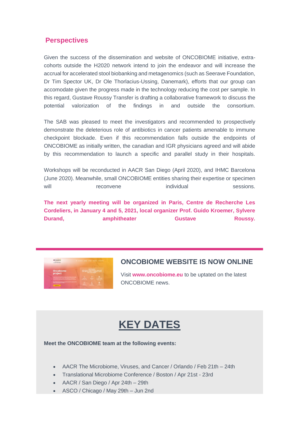### **Perspectives**

Given the success of the dissemination and website of ONCOBIOME initiative, extracohorts outside the H2020 network intend to join the endeavor and will increase the accrual for accelerated stool biobanking and metagenomics (such as Seerave Foundation, Dr Tim Spector UK, Dr Ole Thorlacius-Ussing, Danemark), efforts that our group can accomodate given the progress made in the technology reducing the cost per sample. In this regard, Gustave Roussy Transfer is drafting a collaborative framework to discuss the potential valorization of the findings in and outside the consortium.

The SAB was pleased to meet the investigators and recommended to prospectively demonstrate the deleterious role of antibiotics in cancer patients amenable to immune checkpoint blockade. Even if this recommendation falls outside the endpoints of ONCOBIOME as initially written, the canadian and IGR physicians agreed and will abide by this recommendation to launch a specific and parallel study in their hospitals.

Workshops will be reconducted in AACR San Diego (April 2020), and IHMC Barcelona (June 2020). Meanwhile, small ONCOBIOME entities sharing their expertise or specimen will individual sessions. What is essions.

**The next yearly meeting will be organized in Paris, Centre de Recherche Les Cordeliers, in January 4 and 5, 2021, local organizer Prof. Guido Kroemer, Sylvere Durand, amphitheater Gustave Roussy.** 



#### **ONCOBIOME WEBSITE IS NOW ONLINE**

Visit **www.oncobiome.eu** to be uptated on the latest ONCOBIOME news.

# **KEY DATES**

#### **Meet the ONCOBIOME team at the following events:**

- AACR The Microbiome, Viruses, and Cancer / Orlando / Feb 21th 24th
- Translational Microbiome Conference / Boston / Apr 21st 23rd
- AACR / San Diego / Apr 24th 29th
- ASCO / Chicago / May 29th Jun 2nd